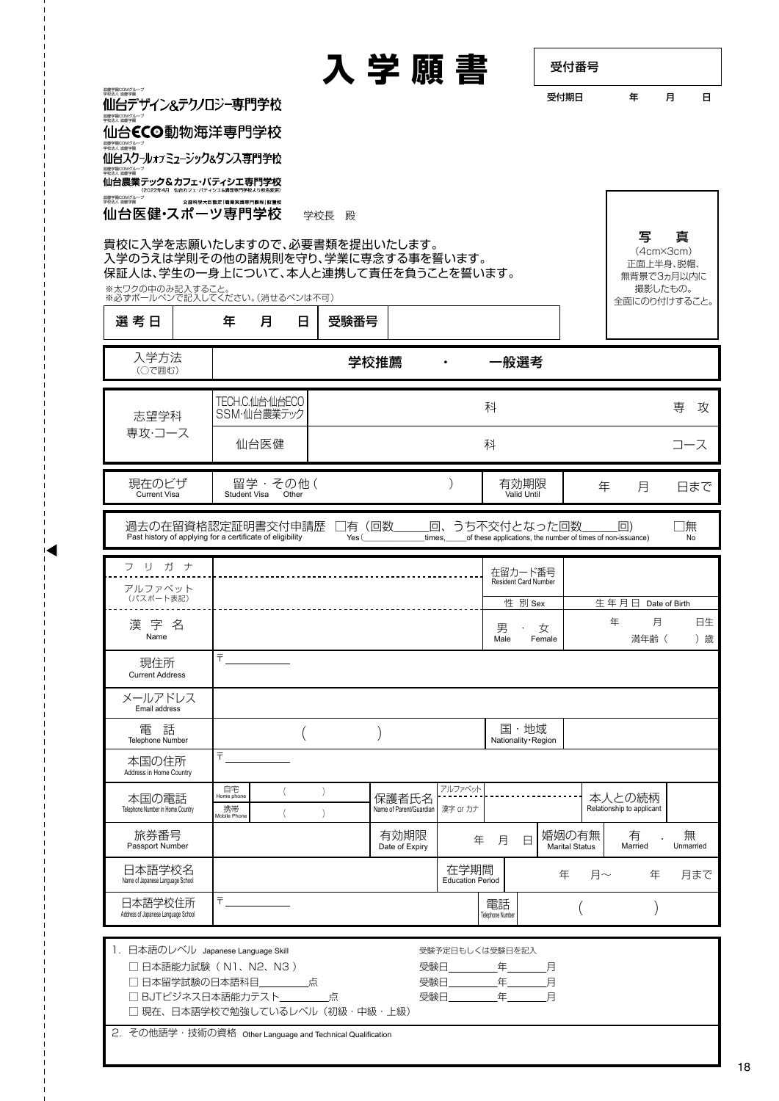| 受付番号 |   |   |  |
|------|---|---|--|
| 受付期日 | 仼 | 日 |  |

| 滋慶学園COMグループ<br>学校法人 滋慶学園 |
|--------------------------|
| 仙台デザイン&テクノロジー専門学校        |
| 滋慶学園COMグループ<br>学校法人 滋慶学園 |
| 仙466G和桃海洋宙明岑达            |

10台CCO動物海洋导門字校 滋慶学園COMグループ 学校法人 滋慶学園 仙台スクールォァミュージック&タンス専門学校 滋慶学園COMグループ

<sub>教法人 赫泰</sub><br>仙台農業 テック&カフェ・パティシエ専門学校

**文部科学大臣認定「職業実践専門課程」設置** 滋慶学園COMグループ 学校法人 滋慶学園 仙台医健·スポーツ専門学校 学校長 殿

貴校に入学を志願いたしますので、必要書類を提出いたします。 入学のうえは学則その他の諸規則を守り、学業に専念する事を誓います。 保証人は、学生の一身上について、本人と連携して責任を負うことを誓います。

※太ワクの中のみ記入すること。 ※必ずボールペンで記入してください。(消せるペンは不可)

| 選考日                                                                                                                                                            |  | 年                                      | 月                              | 日                                            | 受験番号                                 |      |                                  |                                 |                        |                                                                            |                                |    |        |                                     |                |
|----------------------------------------------------------------------------------------------------------------------------------------------------------------|--|----------------------------------------|--------------------------------|----------------------------------------------|--------------------------------------|------|----------------------------------|---------------------------------|------------------------|----------------------------------------------------------------------------|--------------------------------|----|--------|-------------------------------------|----------------|
| 入学方法<br>(○で囲む)                                                                                                                                                 |  |                                        |                                |                                              |                                      | 学校推薦 |                                  | $\bullet$                       |                        | 一般選考                                                                       |                                |    |        |                                     |                |
| 志望学科                                                                                                                                                           |  |                                        | TECH.C.仙台·仙台ECO<br>SSM·仙台農業テック |                                              |                                      |      |                                  |                                 | 科                      |                                                                            |                                |    |        |                                     | 専<br>攻         |
| 専攻・コース                                                                                                                                                         |  |                                        | 仙台医健                           |                                              |                                      |      |                                  |                                 | 科                      |                                                                            |                                |    |        |                                     | コース            |
| 現在のビザ<br><b>Current Visa</b>                                                                                                                                   |  | Student Visa                           | 留学・その他(                        | Other                                        |                                      |      |                                  |                                 |                        | 有効期限<br>Valid Until                                                        |                                | 年  |        | 月                                   | 日まで            |
| 過去の在留資格認定証明書交付申請歴<br>Past history of applying for a certificate of eligibility                                                                                 |  |                                        |                                |                                              | Yes (                                | 有(回数 | times,                           | 回、                              |                        | うち不交付となった回数<br>of these applications, the number of times of non-issuance) |                                |    | $\Box$ |                                     | 無<br>No        |
| フリガナ                                                                                                                                                           |  |                                        |                                |                                              |                                      |      |                                  |                                 |                        | 在留カード番号<br>Resident Card Number                                            |                                |    |        |                                     |                |
| アルファベット<br>(パスポート表記)                                                                                                                                           |  |                                        |                                |                                              |                                      |      |                                  |                                 |                        | 性 別 Sex                                                                    |                                |    | 生年月日   | Date of Birth                       |                |
| 漢字名<br>Name                                                                                                                                                    |  |                                        |                                |                                              |                                      |      |                                  |                                 | 男<br>Male              | 女<br>Female                                                                |                                |    | 年      | 月<br>満年齢 (                          | 日生<br>) 歳      |
| 現住所<br><b>Current Address</b>                                                                                                                                  |  | $\overline{\tau}$                      |                                |                                              |                                      |      |                                  |                                 |                        |                                                                            |                                |    |        |                                     |                |
| メールアドレス<br>Email address                                                                                                                                       |  |                                        |                                |                                              |                                      |      |                                  |                                 |                        |                                                                            |                                |    |        |                                     |                |
| 電 話<br>Telephone Number                                                                                                                                        |  |                                        |                                |                                              |                                      |      |                                  |                                 |                        | 国・地域<br>Nationality · Region                                               |                                |    |        |                                     |                |
| 本国の住所<br>Address in Home Country                                                                                                                               |  | Ŧ.                                     |                                |                                              |                                      |      |                                  |                                 |                        |                                                                            |                                |    |        |                                     |                |
| 本国の電話<br>Telephone Number in Home Country                                                                                                                      |  | 自宅<br>Home phone<br>携帯<br>Mobile Phone |                                |                                              | $\left( \right)$<br>$\lambda$        |      | 保護者氏名<br>Name of Parent/Guardian | アルファベット<br>漢字 or カナ             |                        |                                                                            |                                |    |        | 本人との続柄<br>Relationship to applicant |                |
| 旅券番号<br>Passport Number                                                                                                                                        |  |                                        |                                |                                              |                                      |      | 有効期限<br>Date of Expiry           | 年                               | 月                      | $\Box$                                                                     | 婚姻の有無<br><b>Marital Status</b> |    |        | 有<br>Married                        | 無<br>Unmarried |
| 日本語学校名<br>Name of Japanese Language School                                                                                                                     |  |                                        |                                |                                              |                                      |      |                                  | 在学期間<br><b>Education Period</b> |                        |                                                                            | 年                              | 月~ |        | 年                                   | 月まで            |
| 日本語学校住所<br>Address of Japanese Language School                                                                                                                 |  | ₹.                                     |                                |                                              |                                      |      |                                  |                                 | 電話<br>Telephone Number |                                                                            |                                |    |        |                                     |                |
| 1. 日本語のレベル Japanese Language Skill<br>□ 日本語能力試験 (N1、N2、N3)<br>□ 日本留学試験の日本語科目<br>□ BJTビジネス日本語能力テスト<br>2. その他語学・技術の資格 Other Language and Technical Qualification |  |                                        |                                | しんしん 点り しんじょう しんしゃく しゅうしょう しんしゅう しんしゅう しんしゅう | 点<br>□ 現在、日本語学校で勉強しているレベル (初級・中級・上級) |      | 受験日<br>受験日.<br>受験日               | 受験予定日もしくは受験日を記入                 |                        | こんじょう 年の 月の月<br>年_______<br>年                                              | 月<br>月                         |    |        |                                     |                |
|                                                                                                                                                                |  |                                        |                                |                                              |                                      |      |                                  |                                 |                        |                                                                            |                                |    |        |                                     |                |

**入学願書** 受付番号

写 真